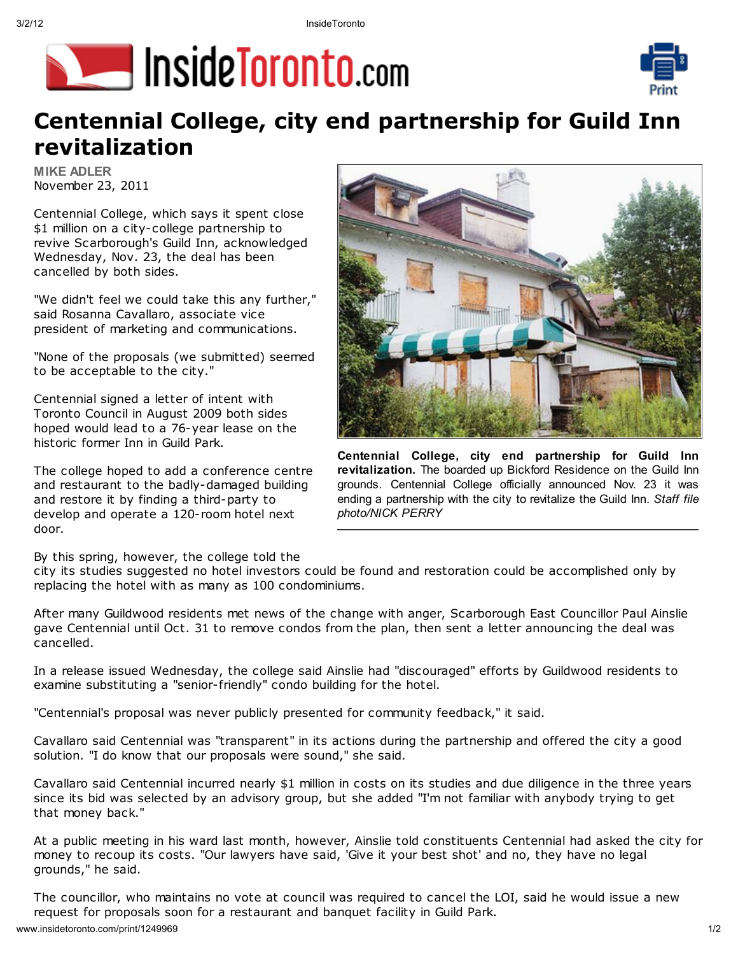



# **Centennial College, city end partnership for Guild Inn** revitalization

**MIKE ADLER** November 23, 2011

Centennial College, which says it spent close \$1 million on a city-college partnership to revive Scarborough's Guild Inn, acknowledged Wednesday, Nov. 23, the deal has been cancelled by both sides.

"We didn't feel we could take this any further," said Rosanna Cavallaro, associate vice president of marketing and communications.

"None of the proposals (we submitted) seemed to be acceptable to the city."

Centennial signed a letter of intent with Toronto Council in August 2009 both sides hoped would lead to a 76-year lease on the historic former Inn in Guild Park.

The college hoped to add a conference centre and restaurant to the badly-damaged building and restore it by finding a third-party to develop and operate a 120-room hotel next door.

Centennial College, city end partnership for Guild Inn revitalization. The boarded up Bickford Residence on the Guild Inn grounds. Centennial College officially announced Nov. 23 it was ending a partnership with the city to revitalize the Guild Inn. Staff file photo/NICK PERRY

# By this spring, however, the college told the

city its studies suggested no hotel investors could be found and restoration could be accomplished only by replacing the hotel with as many as 100 condominiums.

After many Guildwood residents met news of the change with anger, Scarborough East Councillor Paul Ainslie gave Centennial until Oct. 31 to remove condos from the plan, then sent a letter announcing the deal was cancelled.

In a release issued Wednesday, the college said Ainslie had "discouraged" efforts by Guildwood residents to examine substituting a "senior-friendly" condo building for the hotel.

"Centennial's proposal was never publicly presented for community feedback," it said.

Cavallaro said Centennial was "transparent" in its actions during the partnership and offered the city a good solution. "I do know that our proposals were sound," she said.

Cavallaro said Centennial incurred nearly \$1 million in costs on its studies and due diligence in the three years since its bid was selected by an advisory group, but she added "I'm not familiar with anybody trying to get that money back."

At a public meeting in his ward last month, however, Ainslie told constituents Centennial had asked the city for money to recoup its costs. "Our lawyers have said, 'Give it your best shot' and no, they have no legal grounds," he said.

The councillor, who maintains no vote at council was required to cancel the LOI, said he would issue a new request for proposals soon for a restaurant and banquet facility in Guild Park.